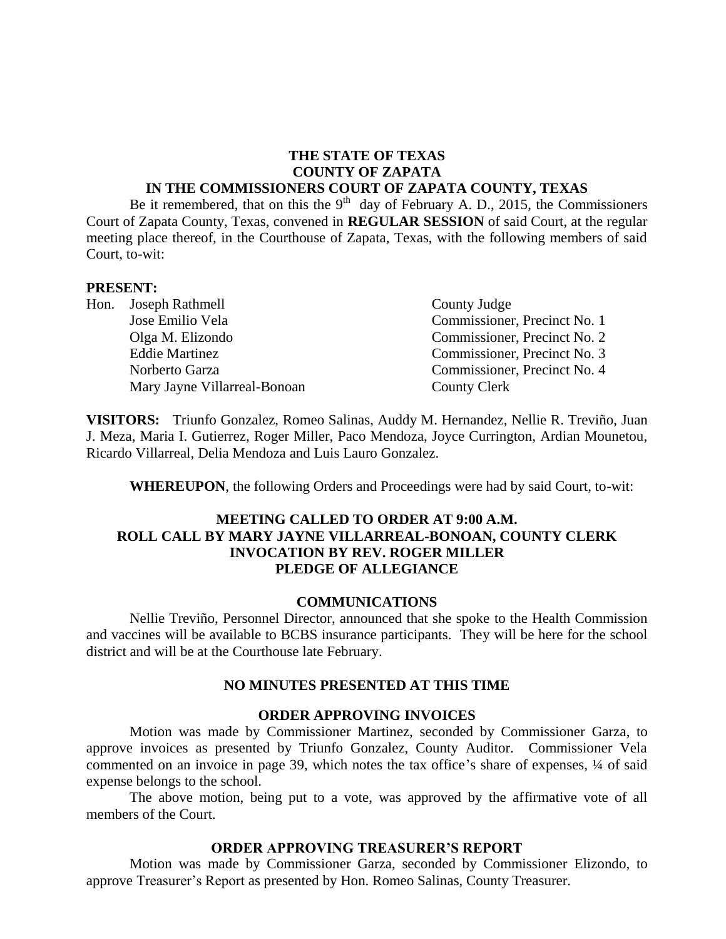#### **THE STATE OF TEXAS COUNTY OF ZAPATA IN THE COMMISSIONERS COURT OF ZAPATA COUNTY, TEXAS**

Be it remembered, that on this the  $9<sup>th</sup>$  day of February A. D., 2015, the Commissioners Court of Zapata County, Texas, convened in **REGULAR SESSION** of said Court, at the regular meeting place thereof, in the Courthouse of Zapata, Texas, with the following members of said Court, to-wit:

#### **PRESENT:**

- Hon. Joseph Rathmell County Judge Mary Jayne Villarreal-Bonoan County Clerk
- Jose Emilio Vela Commissioner, Precinct No. 1 Olga M. Elizondo Commissioner, Precinct No. 2 Eddie Martinez Commissioner, Precinct No. 3 Norberto Garza Commissioner, Precinct No. 4

**VISITORS:** Triunfo Gonzalez, Romeo Salinas, Auddy M. Hernandez, Nellie R. Treviño, Juan J. Meza, Maria I. Gutierrez, Roger Miller, Paco Mendoza, Joyce Currington, Ardian Mounetou, Ricardo Villarreal, Delia Mendoza and Luis Lauro Gonzalez.

**WHEREUPON**, the following Orders and Proceedings were had by said Court, to-wit:

### **MEETING CALLED TO ORDER AT 9:00 A.M. ROLL CALL BY MARY JAYNE VILLARREAL-BONOAN, COUNTY CLERK INVOCATION BY REV. ROGER MILLER PLEDGE OF ALLEGIANCE**

#### **COMMUNICATIONS**

Nellie Treviño, Personnel Director, announced that she spoke to the Health Commission and vaccines will be available to BCBS insurance participants. They will be here for the school district and will be at the Courthouse late February.

#### **NO MINUTES PRESENTED AT THIS TIME**

#### **ORDER APPROVING INVOICES**

Motion was made by Commissioner Martinez, seconded by Commissioner Garza, to approve invoices as presented by Triunfo Gonzalez, County Auditor. Commissioner Vela commented on an invoice in page 39, which notes the tax office's share of expenses, ¼ of said expense belongs to the school.

The above motion, being put to a vote, was approved by the affirmative vote of all members of the Court.

#### **ORDER APPROVING TREASURER'S REPORT**

Motion was made by Commissioner Garza, seconded by Commissioner Elizondo, to approve Treasurer's Report as presented by Hon. Romeo Salinas, County Treasurer.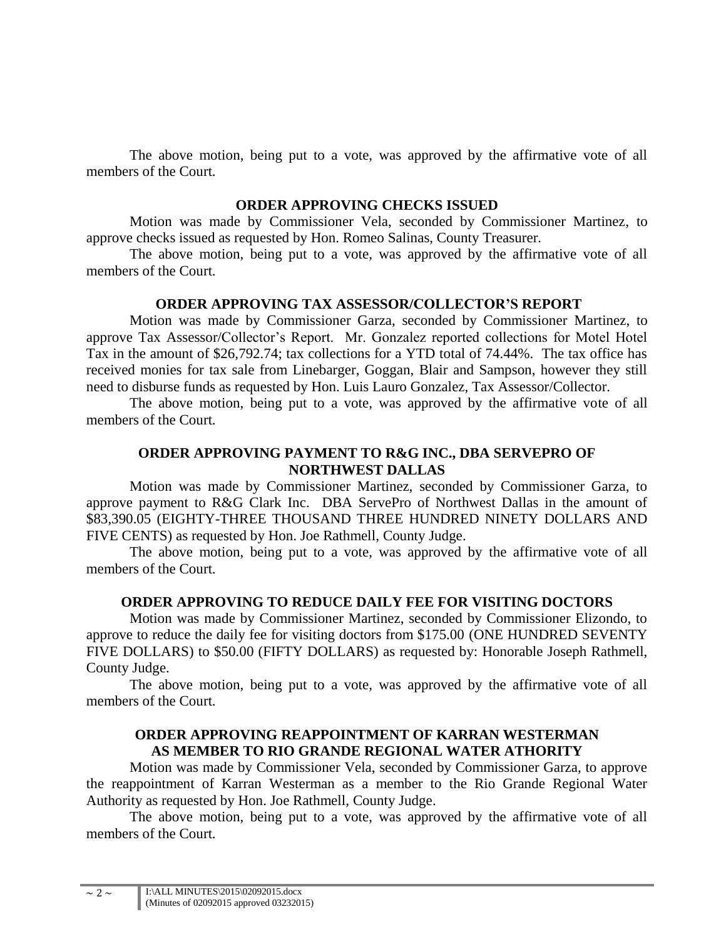The above motion, being put to a vote, was approved by the affirmative vote of all members of the Court.

#### **ORDER APPROVING CHECKS ISSUED**

Motion was made by Commissioner Vela, seconded by Commissioner Martinez, to approve checks issued as requested by Hon. Romeo Salinas, County Treasurer.

The above motion, being put to a vote, was approved by the affirmative vote of all members of the Court.

#### **ORDER APPROVING TAX ASSESSOR/COLLECTOR'S REPORT**

Motion was made by Commissioner Garza, seconded by Commissioner Martinez, to approve Tax Assessor/Collector's Report. Mr. Gonzalez reported collections for Motel Hotel Tax in the amount of \$26,792.74; tax collections for a YTD total of 74.44%. The tax office has received monies for tax sale from Linebarger, Goggan, Blair and Sampson, however they still need to disburse funds as requested by Hon. Luis Lauro Gonzalez, Tax Assessor/Collector.

The above motion, being put to a vote, was approved by the affirmative vote of all members of the Court.

### **ORDER APPROVING PAYMENT TO R&G INC., DBA SERVEPRO OF NORTHWEST DALLAS**

Motion was made by Commissioner Martinez, seconded by Commissioner Garza, to approve payment to R&G Clark Inc. DBA ServePro of Northwest Dallas in the amount of \$83,390.05 (EIGHTY-THREE THOUSAND THREE HUNDRED NINETY DOLLARS AND FIVE CENTS) as requested by Hon. Joe Rathmell, County Judge.

The above motion, being put to a vote, was approved by the affirmative vote of all members of the Court.

### **ORDER APPROVING TO REDUCE DAILY FEE FOR VISITING DOCTORS**

Motion was made by Commissioner Martinez, seconded by Commissioner Elizondo, to approve to reduce the daily fee for visiting doctors from \$175.00 (ONE HUNDRED SEVENTY FIVE DOLLARS) to \$50.00 (FIFTY DOLLARS) as requested by: Honorable Joseph Rathmell, County Judge.

The above motion, being put to a vote, was approved by the affirmative vote of all members of the Court.

#### **ORDER APPROVING REAPPOINTMENT OF KARRAN WESTERMAN AS MEMBER TO RIO GRANDE REGIONAL WATER ATHORITY**

Motion was made by Commissioner Vela, seconded by Commissioner Garza, to approve the reappointment of Karran Westerman as a member to the Rio Grande Regional Water Authority as requested by Hon. Joe Rathmell, County Judge.

The above motion, being put to a vote, was approved by the affirmative vote of all members of the Court.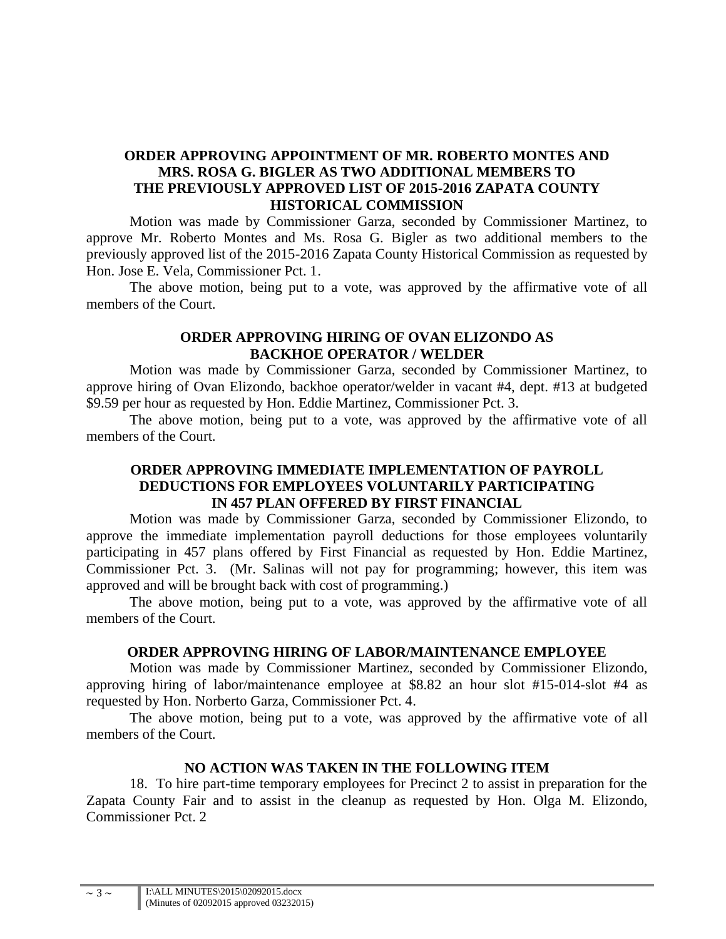### **ORDER APPROVING APPOINTMENT OF MR. ROBERTO MONTES AND MRS. ROSA G. BIGLER AS TWO ADDITIONAL MEMBERS TO THE PREVIOUSLY APPROVED LIST OF 2015-2016 ZAPATA COUNTY HISTORICAL COMMISSION**

Motion was made by Commissioner Garza, seconded by Commissioner Martinez, to approve Mr. Roberto Montes and Ms. Rosa G. Bigler as two additional members to the previously approved list of the 2015-2016 Zapata County Historical Commission as requested by Hon. Jose E. Vela, Commissioner Pct. 1.

The above motion, being put to a vote, was approved by the affirmative vote of all members of the Court.

### **ORDER APPROVING HIRING OF OVAN ELIZONDO AS BACKHOE OPERATOR / WELDER**

Motion was made by Commissioner Garza, seconded by Commissioner Martinez, to approve hiring of Ovan Elizondo, backhoe operator/welder in vacant #4, dept. #13 at budgeted \$9.59 per hour as requested by Hon. Eddie Martinez, Commissioner Pct. 3.

The above motion, being put to a vote, was approved by the affirmative vote of all members of the Court.

### **ORDER APPROVING IMMEDIATE IMPLEMENTATION OF PAYROLL DEDUCTIONS FOR EMPLOYEES VOLUNTARILY PARTICIPATING IN 457 PLAN OFFERED BY FIRST FINANCIAL**

Motion was made by Commissioner Garza, seconded by Commissioner Elizondo, to approve the immediate implementation payroll deductions for those employees voluntarily participating in 457 plans offered by First Financial as requested by Hon. Eddie Martinez, Commissioner Pct. 3. (Mr. Salinas will not pay for programming; however, this item was approved and will be brought back with cost of programming.)

The above motion, being put to a vote, was approved by the affirmative vote of all members of the Court.

#### **ORDER APPROVING HIRING OF LABOR/MAINTENANCE EMPLOYEE**

Motion was made by Commissioner Martinez, seconded by Commissioner Elizondo, approving hiring of labor/maintenance employee at \$8.82 an hour slot #15-014-slot #4 as requested by Hon. Norberto Garza, Commissioner Pct. 4.

The above motion, being put to a vote, was approved by the affirmative vote of all members of the Court.

### **NO ACTION WAS TAKEN IN THE FOLLOWING ITEM**

18. To hire part-time temporary employees for Precinct 2 to assist in preparation for the Zapata County Fair and to assist in the cleanup as requested by Hon. Olga M. Elizondo, Commissioner Pct. 2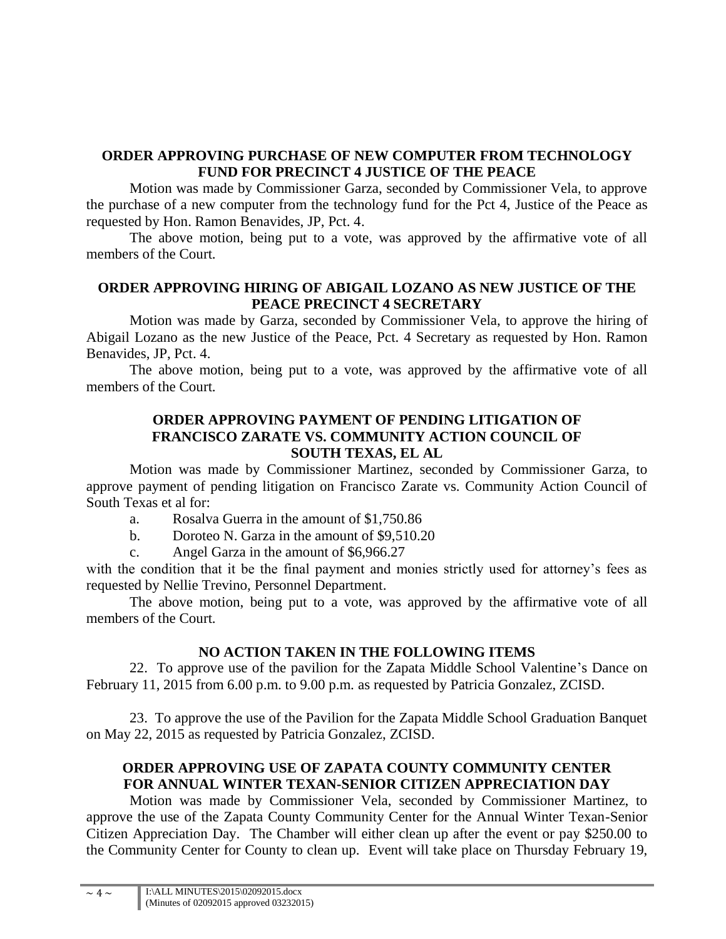## **ORDER APPROVING PURCHASE OF NEW COMPUTER FROM TECHNOLOGY FUND FOR PRECINCT 4 JUSTICE OF THE PEACE**

Motion was made by Commissioner Garza, seconded by Commissioner Vela, to approve the purchase of a new computer from the technology fund for the Pct 4, Justice of the Peace as requested by Hon. Ramon Benavides, JP, Pct. 4.

The above motion, being put to a vote, was approved by the affirmative vote of all members of the Court.

## **ORDER APPROVING HIRING OF ABIGAIL LOZANO AS NEW JUSTICE OF THE PEACE PRECINCT 4 SECRETARY**

Motion was made by Garza, seconded by Commissioner Vela, to approve the hiring of Abigail Lozano as the new Justice of the Peace, Pct. 4 Secretary as requested by Hon. Ramon Benavides, JP, Pct. 4.

The above motion, being put to a vote, was approved by the affirmative vote of all members of the Court.

### **ORDER APPROVING PAYMENT OF PENDING LITIGATION OF FRANCISCO ZARATE VS. COMMUNITY ACTION COUNCIL OF SOUTH TEXAS, EL AL**

Motion was made by Commissioner Martinez, seconded by Commissioner Garza, to approve payment of pending litigation on Francisco Zarate vs. Community Action Council of South Texas et al for:

- a. Rosalva Guerra in the amount of \$1,750.86
- b. Doroteo N. Garza in the amount of \$9,510.20
- c. Angel Garza in the amount of \$6,966.27

with the condition that it be the final payment and monies strictly used for attorney's fees as requested by Nellie Trevino, Personnel Department.

The above motion, being put to a vote, was approved by the affirmative vote of all members of the Court.

### **NO ACTION TAKEN IN THE FOLLOWING ITEMS**

22. To approve use of the pavilion for the Zapata Middle School Valentine's Dance on February 11, 2015 from 6.00 p.m. to 9.00 p.m. as requested by Patricia Gonzalez, ZCISD.

23. To approve the use of the Pavilion for the Zapata Middle School Graduation Banquet on May 22, 2015 as requested by Patricia Gonzalez, ZCISD.

# **ORDER APPROVING USE OF ZAPATA COUNTY COMMUNITY CENTER FOR ANNUAL WINTER TEXAN-SENIOR CITIZEN APPRECIATION DAY**

Motion was made by Commissioner Vela, seconded by Commissioner Martinez, to approve the use of the Zapata County Community Center for the Annual Winter Texan-Senior Citizen Appreciation Day. The Chamber will either clean up after the event or pay \$250.00 to the Community Center for County to clean up. Event will take place on Thursday February 19,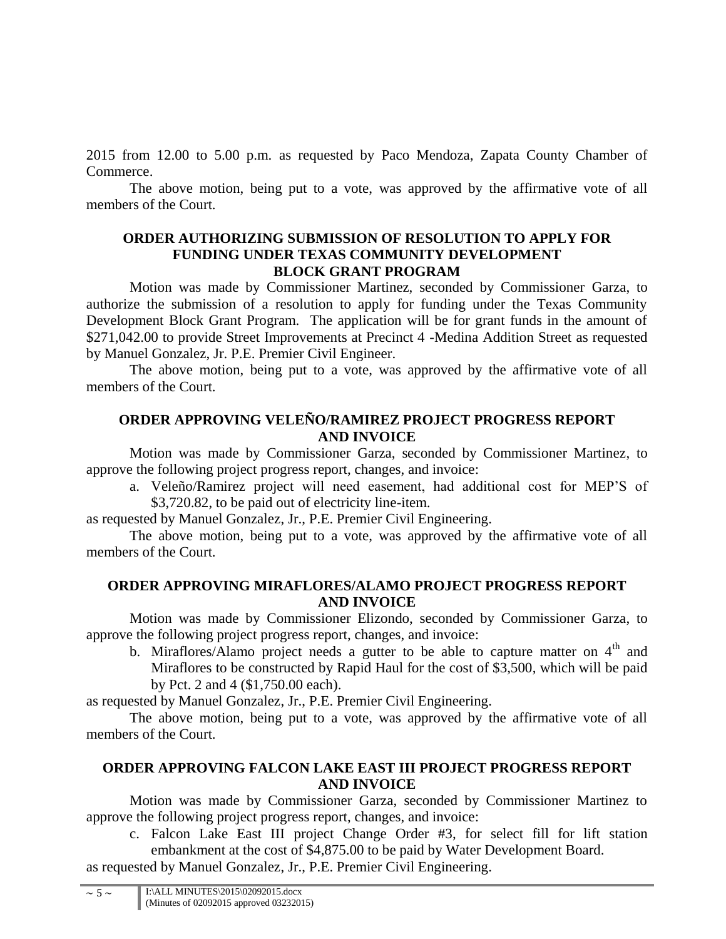2015 from 12.00 to 5.00 p.m. as requested by Paco Mendoza, Zapata County Chamber of Commerce.

The above motion, being put to a vote, was approved by the affirmative vote of all members of the Court.

### **ORDER AUTHORIZING SUBMISSION OF RESOLUTION TO APPLY FOR FUNDING UNDER TEXAS COMMUNITY DEVELOPMENT BLOCK GRANT PROGRAM**

Motion was made by Commissioner Martinez, seconded by Commissioner Garza, to authorize the submission of a resolution to apply for funding under the Texas Community Development Block Grant Program. The application will be for grant funds in the amount of \$271,042.00 to provide Street Improvements at Precinct 4 -Medina Addition Street as requested by Manuel Gonzalez, Jr. P.E. Premier Civil Engineer.

The above motion, being put to a vote, was approved by the affirmative vote of all members of the Court.

## **ORDER APPROVING VELEÑO/RAMIREZ PROJECT PROGRESS REPORT AND INVOICE**

Motion was made by Commissioner Garza, seconded by Commissioner Martinez, to approve the following project progress report, changes, and invoice:

a. Veleño/Ramirez project will need easement, had additional cost for MEP'S of \$3,720.82, to be paid out of electricity line-item.

as requested by Manuel Gonzalez, Jr., P.E. Premier Civil Engineering.

The above motion, being put to a vote, was approved by the affirmative vote of all members of the Court.

## **ORDER APPROVING MIRAFLORES/ALAMO PROJECT PROGRESS REPORT AND INVOICE**

Motion was made by Commissioner Elizondo, seconded by Commissioner Garza, to approve the following project progress report, changes, and invoice:

b. Miraflores/Alamo project needs a gutter to be able to capture matter on  $4<sup>th</sup>$  and Miraflores to be constructed by Rapid Haul for the cost of \$3,500, which will be paid by Pct. 2 and 4 (\$1,750.00 each).

as requested by Manuel Gonzalez, Jr., P.E. Premier Civil Engineering.

The above motion, being put to a vote, was approved by the affirmative vote of all members of the Court.

## **ORDER APPROVING FALCON LAKE EAST III PROJECT PROGRESS REPORT AND INVOICE**

Motion was made by Commissioner Garza, seconded by Commissioner Martinez to approve the following project progress report, changes, and invoice:

c. Falcon Lake East III project Change Order #3, for select fill for lift station embankment at the cost of \$4,875.00 to be paid by Water Development Board.

as requested by Manuel Gonzalez, Jr., P.E. Premier Civil Engineering.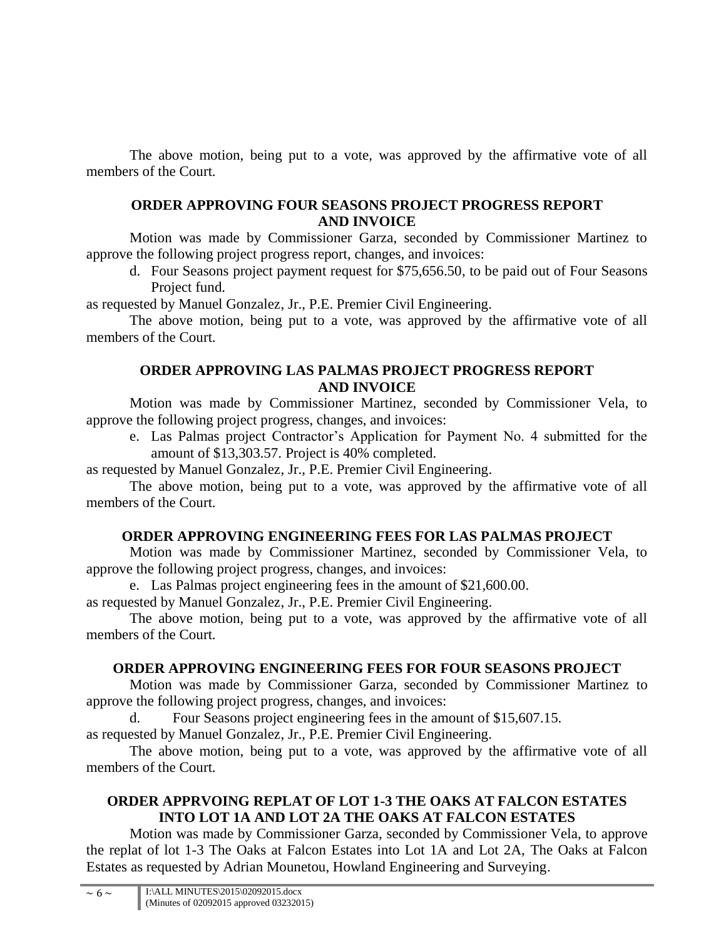The above motion, being put to a vote, was approved by the affirmative vote of all members of the Court.

### **ORDER APPROVING FOUR SEASONS PROJECT PROGRESS REPORT AND INVOICE**

Motion was made by Commissioner Garza, seconded by Commissioner Martinez to approve the following project progress report, changes, and invoices:

d. Four Seasons project payment request for \$75,656.50, to be paid out of Four Seasons Project fund.

as requested by Manuel Gonzalez, Jr., P.E. Premier Civil Engineering.

The above motion, being put to a vote, was approved by the affirmative vote of all members of the Court.

## **ORDER APPROVING LAS PALMAS PROJECT PROGRESS REPORT AND INVOICE**

Motion was made by Commissioner Martinez, seconded by Commissioner Vela, to approve the following project progress, changes, and invoices:

e. Las Palmas project Contractor's Application for Payment No. 4 submitted for the amount of \$13,303.57. Project is 40% completed.

as requested by Manuel Gonzalez, Jr., P.E. Premier Civil Engineering.

The above motion, being put to a vote, was approved by the affirmative vote of all members of the Court.

## **ORDER APPROVING ENGINEERING FEES FOR LAS PALMAS PROJECT**

Motion was made by Commissioner Martinez, seconded by Commissioner Vela, to approve the following project progress, changes, and invoices:

e. Las Palmas project engineering fees in the amount of \$21,600.00.

as requested by Manuel Gonzalez, Jr., P.E. Premier Civil Engineering.

The above motion, being put to a vote, was approved by the affirmative vote of all members of the Court.

# **ORDER APPROVING ENGINEERING FEES FOR FOUR SEASONS PROJECT**

Motion was made by Commissioner Garza, seconded by Commissioner Martinez to approve the following project progress, changes, and invoices:

Four Seasons project engineering fees in the amount of \$15,607.15.

as requested by Manuel Gonzalez, Jr., P.E. Premier Civil Engineering.

The above motion, being put to a vote, was approved by the affirmative vote of all members of the Court.

# **ORDER APPRVOING REPLAT OF LOT 1-3 THE OAKS AT FALCON ESTATES INTO LOT 1A AND LOT 2A THE OAKS AT FALCON ESTATES**

Motion was made by Commissioner Garza, seconded by Commissioner Vela, to approve the replat of lot 1-3 The Oaks at Falcon Estates into Lot 1A and Lot 2A, The Oaks at Falcon Estates as requested by Adrian Mounetou, Howland Engineering and Surveying.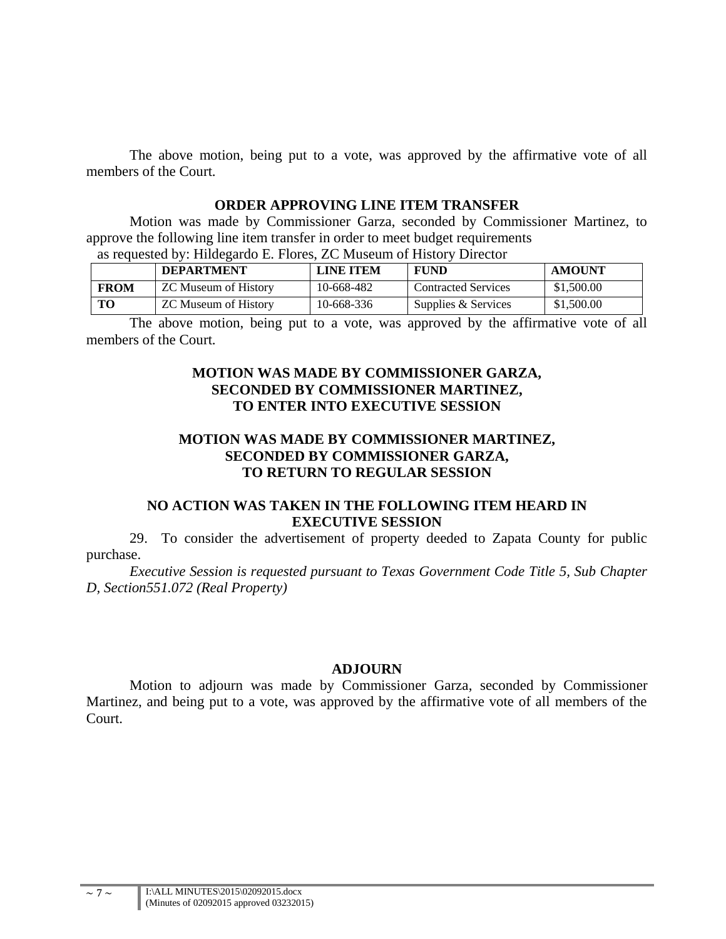The above motion, being put to a vote, was approved by the affirmative vote of all members of the Court.

#### **ORDER APPROVING LINE ITEM TRANSFER**

Motion was made by Commissioner Garza, seconded by Commissioner Martinez, to approve the following line item transfer in order to meet budget requirements as requested by: Hildegardo E. Flores, ZC Museum of History Director

| as requested by. Hildegardo E. Flores, ZC Museum of History Director |                             |                  |                            |               |
|----------------------------------------------------------------------|-----------------------------|------------------|----------------------------|---------------|
|                                                                      | <b>DEPARTMENT</b>           | <b>LINE ITEM</b> | FUND                       | <b>AMOUNT</b> |
| <b>FROM</b>                                                          | ZC Museum of History        | 10-668-482       | <b>Contracted Services</b> | \$1,500.00    |
| TО                                                                   | <b>ZC Museum of History</b> | 10-668-336       | Supplies & Services        | \$1,500.00    |

The above motion, being put to a vote, was approved by the affirmative vote of all members of the Court.

#### **MOTION WAS MADE BY COMMISSIONER GARZA, SECONDED BY COMMISSIONER MARTINEZ, TO ENTER INTO EXECUTIVE SESSION**

### **MOTION WAS MADE BY COMMISSIONER MARTINEZ, SECONDED BY COMMISSIONER GARZA, TO RETURN TO REGULAR SESSION**

### **NO ACTION WAS TAKEN IN THE FOLLOWING ITEM HEARD IN EXECUTIVE SESSION**

29. To consider the advertisement of property deeded to Zapata County for public purchase.

*Executive Session is requested pursuant to Texas Government Code Title 5, Sub Chapter D, Section551.072 (Real Property)*

#### **ADJOURN**

Motion to adjourn was made by Commissioner Garza, seconded by Commissioner Martinez, and being put to a vote, was approved by the affirmative vote of all members of the Court.